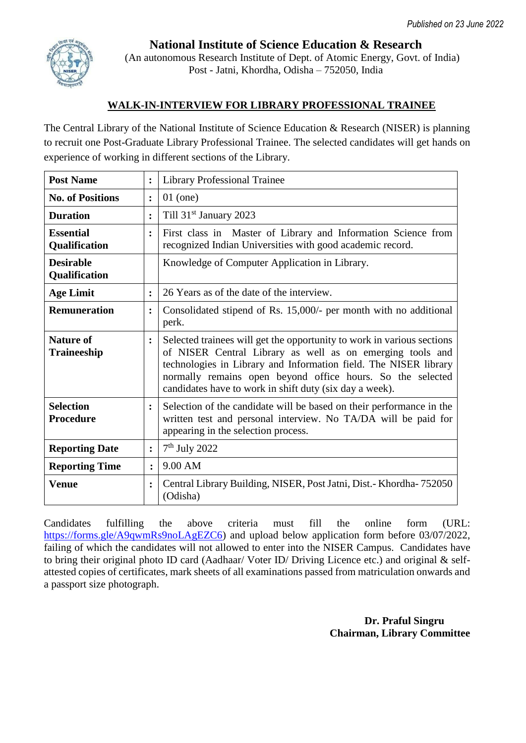

**National Institute of Science Education & Research** (An autonomous Research Institute of Dept. of Atomic Energy, Govt. of India) Post - Jatni, Khordha, Odisha – 752050, India

### **WALK-IN-INTERVIEW FOR LIBRARY PROFESSIONAL TRAINEE**

The Central Library of the National Institute of Science Education & Research (NISER) is planning to recruit one Post-Graduate Library Professional Trainee. The selected candidates will get hands on experience of working in different sections of the Library.

| <b>Post Name</b>                                   | $\ddot{\cdot}$                                                                                                                                                                                                                                                                                                                                     | <b>Library Professional Trainee</b>                                                                                        |  |  |
|----------------------------------------------------|----------------------------------------------------------------------------------------------------------------------------------------------------------------------------------------------------------------------------------------------------------------------------------------------------------------------------------------------------|----------------------------------------------------------------------------------------------------------------------------|--|--|
| <b>No. of Positions</b>                            | $\ddot{\cdot}$                                                                                                                                                                                                                                                                                                                                     | $01$ (one)                                                                                                                 |  |  |
| <b>Duration</b>                                    | $\ddot{\cdot}$                                                                                                                                                                                                                                                                                                                                     | Till 31 <sup>st</sup> January 2023                                                                                         |  |  |
| <b>Essential</b><br>Qualification                  | $\ddot{\cdot}$                                                                                                                                                                                                                                                                                                                                     | First class in Master of Library and Information Science from<br>recognized Indian Universities with good academic record. |  |  |
| <b>Desirable</b><br>Qualification                  |                                                                                                                                                                                                                                                                                                                                                    | Knowledge of Computer Application in Library.                                                                              |  |  |
| <b>Age Limit</b>                                   | 26 Years as of the date of the interview.<br>$\ddot{\cdot}$                                                                                                                                                                                                                                                                                        |                                                                                                                            |  |  |
| <b>Remuneration</b>                                | Consolidated stipend of Rs. 15,000/- per month with no additional<br>$\ddot{\cdot}$<br>perk.                                                                                                                                                                                                                                                       |                                                                                                                            |  |  |
| <b>Nature of</b><br><b>Traineeship</b>             | Selected trainees will get the opportunity to work in various sections<br>$\ddot{\cdot}$<br>of NISER Central Library as well as on emerging tools and<br>technologies in Library and Information field. The NISER library<br>normally remains open beyond office hours. So the selected<br>candidates have to work in shift duty (six day a week). |                                                                                                                            |  |  |
| <b>Selection</b><br><b>Procedure</b>               | Selection of the candidate will be based on their performance in the<br>$\ddot{\cdot}$<br>written test and personal interview. No TA/DA will be paid for<br>appearing in the selection process.                                                                                                                                                    |                                                                                                                            |  |  |
| <b>Reporting Date</b>                              | $\ddot{\cdot}$                                                                                                                                                                                                                                                                                                                                     | $7th$ July 2022                                                                                                            |  |  |
| 9.00 AM<br><b>Reporting Time</b><br>$\ddot{\cdot}$ |                                                                                                                                                                                                                                                                                                                                                    |                                                                                                                            |  |  |
| <b>Venue</b>                                       | $\ddot{\cdot}$                                                                                                                                                                                                                                                                                                                                     | Central Library Building, NISER, Post Jatni, Dist. - Khordha-752050<br>(Odisha)                                            |  |  |

Candidates fulfilling the above criteria must fill the online form (URL: [https://forms.gle/A9qwmRs9noLAgEZC6\)](https://forms.gle/A9qwmRs9noLAgEZC6) and upload below application form before 03/07/2022, failing of which the candidates will not allowed to enter into the NISER Campus. Candidates have to bring their original photo ID card (Aadhaar/ Voter ID/ Driving Licence etc.) and original & selfattested copies of certificates, mark sheets of all examinations passed from matriculation onwards and a passport size photograph.

> **Dr. Praful Singru Chairman, Library Committee**